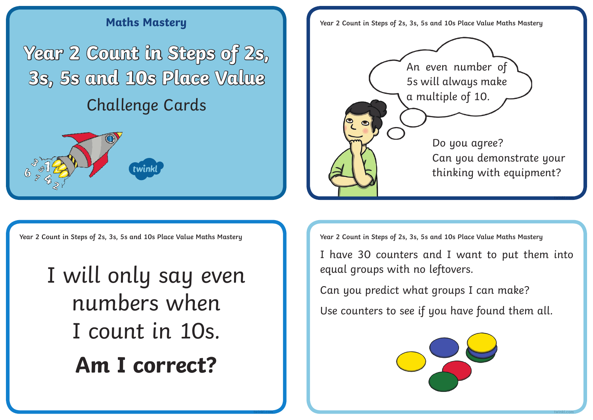## **Maths Mastery Year 2 Count in Steps of 2s, 3s, 5s and 10s Place Value Maths Mastery**

**Year 2 Count in Steps of 2s, 3s, 5s and 10s Place Value** Challenge Cards



Do you agree? Can you demonstrate your thinking with equipment? An even number of 5s will always make a multiple of 10.

**Year 2 Count in Steps of 2s, 3s, 5s and 10s Place Value Maths Mastery Year 2 Count in Steps of 2s, 3s, 5s and 10s Place Value Maths Mastery**

I will only say even numbers when I count in 10s. **Am I correct?**

I have 30 counters and I want to put them into equal groups with no leftovers.

**twinkl.com**

Can you predict what groups I can make?

**twinkl.com twinkl.com**

Use counters to see if you have found them all.

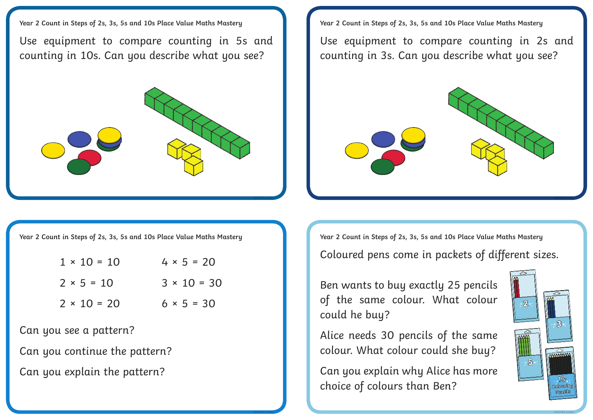**Year 2 Count in Steps of 2s, 3s, 5s and 10s Place Value Maths Mastery**

Use equipment to compare counting in 5s and counting in 10s. Can you describe what you see?



**Year 2 Count in Steps of 2s, 3s, 5s and 10s Place Value Maths Mastery**

Use equipment to compare counting in 2s and counting in 3s. Can you describe what you see?



**Year 2 Count in Steps of 2s, 3s, 5s and 10s Place Value Maths Mastery**

| $1 \times 10 = 10$ | $4 \times 5 = 20$  |
|--------------------|--------------------|
| $2 × 5 = 10$       | $3 \times 10 = 30$ |

 $2 \times 10 = 20$   $6 \times 5 = 30$ 

**twinkl.com**

Can you see a pattern?

Can you continue the pattern?

Can you explain the pattern?

**Year 2 Count in Steps of 2s, 3s, 5s and 10s Place Value Maths Mastery**

Coloured pens come in packets of different sizes.

Ben wants to buy exactly 25 pencils of the same colour. What colour could he buy?

Alice needs 30 pencils of the same colour. What colour could she buy?

Can you explain why Alice has more choice of colours than Ben?



**twinkl.com**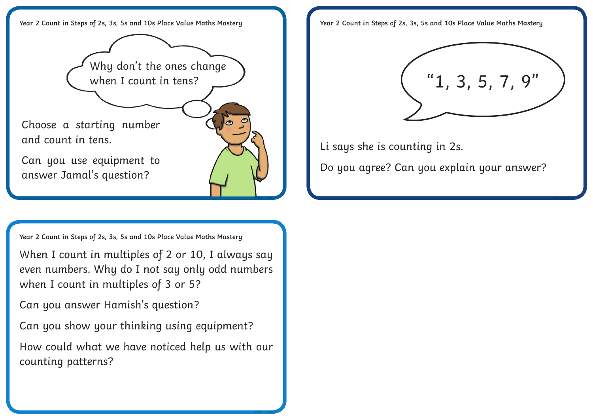

**Year 2 Count in Steps of 2s, 3s, 5s and 10s Place Value Maths Mastery**

When I count in multiples of 2 or 10, I always say even numbers. Why do I not say only odd numbers when I count in multiples of 3 or 5?

Can you answer Hamish's question?

Can you show your thinking using equipment?

How could what we have noticed help us with our counting patterns?

**twinkl.com**

**Year 2 Count in Steps of 2s, 3s, 5s and 10s Place Value Maths Mastery**



Li says she is counting in 2s.

Do you agree? Can you explain your answer?